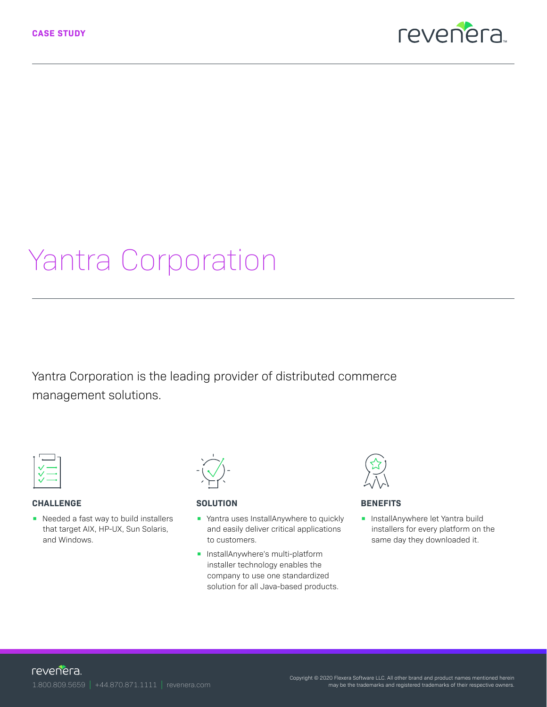

# Yantra Corporation

Yantra Corporation is the leading provider of distributed commerce management solutions.



#### **CHALLENGE**

**•** Needed a fast way to build installers that target AIX, HP-UX, Sun Solaris, and Windows.

## **SOLUTION**

- Yantra uses InstallAnywhere to quickly and easily deliver critical applications to customers.
- InstallAnywhere's multi-platform installer technology enables the company to use one standardized solution for all Java-based products.



#### **BENEFITS**

**•** InstallAnywhere let Yantra build installers for every platform on the same day they downloaded it.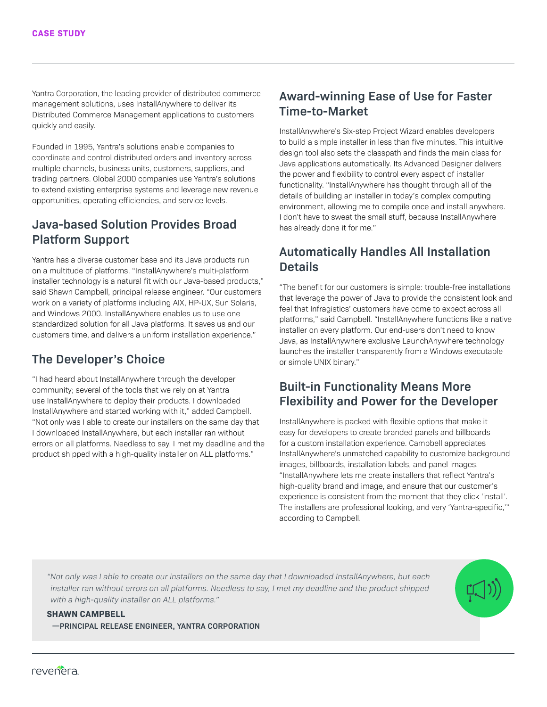Yantra Corporation, the leading provider of distributed commerce management solutions, uses InstallAnywhere to deliver its Distributed Commerce Management applications to customers quickly and easily.

Founded in 1995, Yantra's solutions enable companies to coordinate and control distributed orders and inventory across multiple channels, business units, customers, suppliers, and trading partners. Global 2000 companies use Yantra's solutions to extend existing enterprise systems and leverage new revenue opportunities, operating efficiencies, and service levels.

#### **Java-based Solution Provides Broad Platform Support**

Yantra has a diverse customer base and its Java products run on a multitude of platforms. "InstallAnywhere's multi-platform installer technology is a natural fit with our Java-based products," said Shawn Campbell, principal release engineer. "Our customers work on a variety of platforms including AIX, HP-UX, Sun Solaris, and Windows 2000. InstallAnywhere enables us to use one standardized solution for all Java platforms. It saves us and our customers time, and delivers a uniform installation experience."

## **The Developer's Choice**

"I had heard about InstallAnywhere through the developer community; several of the tools that we rely on at Yantra use InstallAnywhere to deploy their products. I downloaded InstallAnywhere and started working with it," added Campbell. "Not only was I able to create our installers on the same day that I downloaded InstallAnywhere, but each installer ran without errors on all platforms. Needless to say, I met my deadline and the product shipped with a high-quality installer on ALL platforms."

## **Award-winning Ease of Use for Faster Time-to-Market**

InstallAnywhere's Six-step Project Wizard enables developers to build a simple installer in less than five minutes. This intuitive design tool also sets the classpath and finds the main class for Java applications automatically. Its Advanced Designer delivers the power and flexibility to control every aspect of installer functionality. "InstallAnywhere has thought through all of the details of building an installer in today's complex computing environment, allowing me to compile once and install anywhere. I don't have to sweat the small stuff, because InstallAnywhere has already done it for me."

## **Automatically Handles All Installation Details**

"The benefit for our customers is simple: trouble-free installations that leverage the power of Java to provide the consistent look and feel that Infragistics' customers have come to expect across all platforms," said Campbell. "InstallAnywhere functions like a native installer on every platform. Our end-users don't need to know Java, as InstallAnywhere exclusive LaunchAnywhere technology launches the installer transparently from a Windows executable or simple UNIX binary."

#### **Built-in Functionality Means More Flexibility and Power for the Developer**

InstallAnywhere is packed with flexible options that make it easy for developers to create branded panels and billboards for a custom installation experience. Campbell appreciates InstallAnywhere's unmatched capability to customize background images, billboards, installation labels, and panel images. "InstallAnywhere lets me create installers that reflect Yantra's high-quality brand and image, and ensure that our customer's experience is consistent from the moment that they click 'install'. The installers are professional looking, and very 'Yantra-specific,'" according to Campbell.

*"Not only was I able to create our installers on the same day that I downloaded InstallAnywhere, but each installer ran without errors on all platforms. Needless to say, I met my deadline and the product shipped with a high-quality installer on ALL platforms."*



**—PRINCIPAL RELEASE ENGINEER, YANTRA CORPORATION**